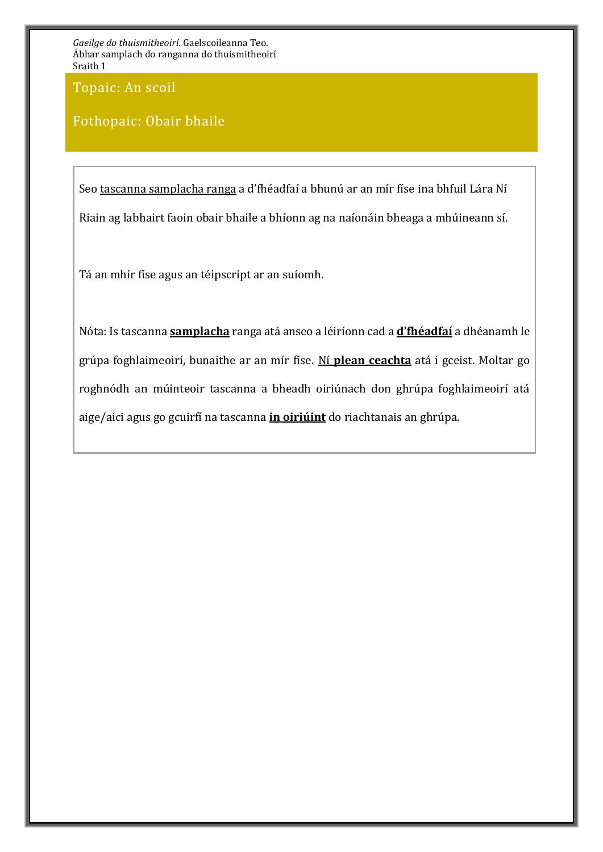Topaic: An scoil

### Fothopaic: Obair bhaile

Seo tascanna samplacha ranga a d'fhéadfaí a bhunú ar an mír físe ina bhfuil Lára Ní Riain ag labhairt faoin obair bhaile a bhíonn ag na naíonáin bheaga a mhúineann sí.

Tá an mhír físe agus an téipscript ar an suíomh.

Nóta: Is tascanna **samplacha** ranga atá anseo a léiríonn cad a **d'fhéadfaí** a dhéanamh le grúpa foghlaimeoirí, bunaithe ar an mír físe. Ní **plean ceachta** atá i gceist. Moltar go roghnódh an múinteoir tascanna a bheadh oiriúnach don ghrúpa foghlaimeoirí atá aige/aici agus go gcuirfí na tascanna **in oiriúint** do riachtanais an ghrúpa.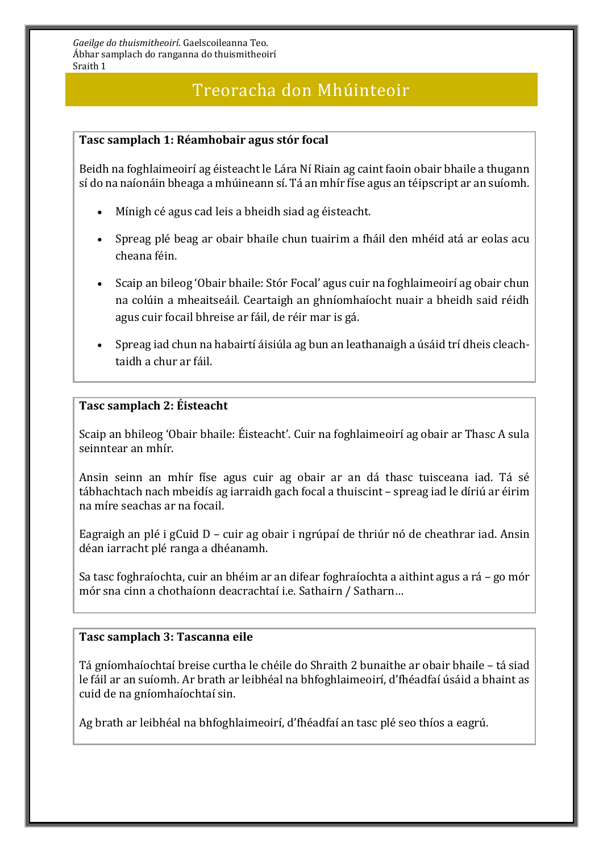## Treoracha don Mhúinteoir

#### **Tasc samplach 1: Réamhobair agus stór focal**

Beidh na foghlaimeoirí ag éisteacht le Lára Ní Riain ag caint faoin obair bhaile a thugann sí do na naíonáin bheaga a mhúineann sí. Tá an mhír físe agus an téipscript ar an suíomh.

- Mínigh cé agus cad leis a bheidh siad ag éisteacht.
- Spreag plé beag ar obair bhaile chun tuairim a fháil den mhéid atá ar eolas acu cheana féin.
- Scaip an bileog 'Obair bhaile: Stór Focal' agus cuir na foghlaimeoirí ag obair chun na colúin a mheaitseáil. Ceartaigh an ghníomhaíocht nuair a bheidh said réidh agus cuir focail bhreise ar fáil, de réir mar is gá.
- Spreag iad chun na habairtí áisiúla ag bun an leathanaigh a úsáid trí dheis cleachtaidh a chur ar fáil.

#### **Tasc samplach 2: Éisteacht**

Scaip an bhileog 'Obair bhaile: Éisteacht'. Cuir na foghlaimeoirí ag obair ar Thasc A sula seinntear an mhír.

Ansin seinn an mhír físe agus cuir ag obair ar an dá thasc tuisceana iad. Tá sé tábhachtach nach mbeidís ag iarraidh gach focal a thuiscint – spreag iad le díriú ar éirim na míre seachas ar na focail.

Eagraigh an plé i gCuid D – cuir ag obair i ngrúpaí de thriúr nó de cheathrar iad. Ansin déan iarracht plé ranga a dhéanamh.

Sa tasc foghraíochta, cuir an bhéim ar an difear foghraíochta a aithint agus a rá – go mór mór sna cinn a chothaíonn deacrachtaí i.e. Sathairn / Satharn…

#### **Tasc samplach 3: Tascanna eile**

Tá gníomhaíochtaí breise curtha le chéile do Shraith 2 bunaithe ar obair bhaile – tá siad le fáil ar an suíomh. Ar brath ar leibhéal na bhfoghlaimeoirí, d'fhéadfaí úsáid a bhaint as cuid de na gníomhaíochtaí sin.

Ag brath ar leibhéal na bhfoghlaimeoirí, d'fhéadfaí an tasc plé seo thíos a eagrú.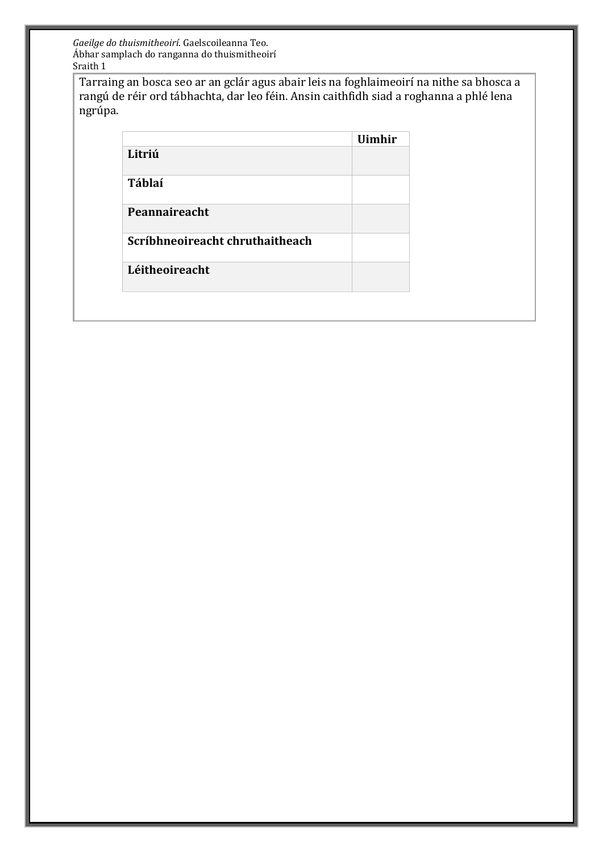Tarraing an bosca seo ar an gclár agus abair leis na foghlaimeoirí na nithe sa bhosca a rangú de réir ord tábhachta, dar leo féin. Ansin caithfidh siad a roghanna a phlé lena ngrúpa.

|                                 | <b>Uimhir</b> |
|---------------------------------|---------------|
| Litriú                          |               |
| <b>Táblaí</b>                   |               |
| Peannaireacht                   |               |
| Scríbhneoireacht chruthaitheach |               |
| Léitheoireacht                  |               |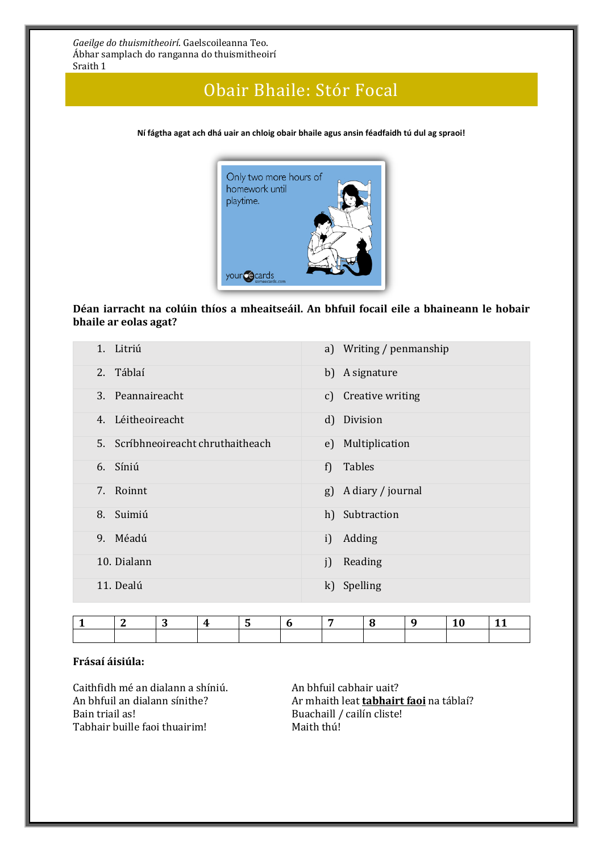### Obair Bhaile: Stór Focal

**Ní fágtha agat ach dhá uair an chloig obair bhaile agus ansin féadfaidh tú dul ag spraoi!**



#### **Déan iarracht na colúin thíos a mheaitseáil. An bhfuil focail eile a bhaineann le hobair bhaile ar eolas agat?**

| 1. Litriú                          | a) Writing / penmanship |
|------------------------------------|-------------------------|
| Táblaí<br>2.                       | b) A signature          |
| 3. Peannaireacht                   | c) Creative writing     |
| 4. Léitheoireacht                  | d) Division             |
| 5. Scríbhneoireacht chruthaitheach | e) Multiplication       |
| 6. Síniú                           | f) Tables               |
| 7.<br>Roinnt                       | g) A diary / journal    |
| Suimiú<br>8.                       | h) Subtraction          |
| 9. Méadú                           | i) Adding               |
| 10. Dialann                        | Reading<br>i)           |
| 11. Dealú                          | k) Spelling             |

#### **Frásaí áisiúla:**

Caithfidh mé an dialann a shíniú. An bhfuil cabhair uait? Tabhair buille faoi thuairim!

An bhfuil an dialann sínithe? **Ar mhaith leat <u>tabhairt faoi</u> na t**áblaí?<br>Bain triail as! Buachaill / cailín cliste! Buachaill / cailín cliste!<br> Maith thú!